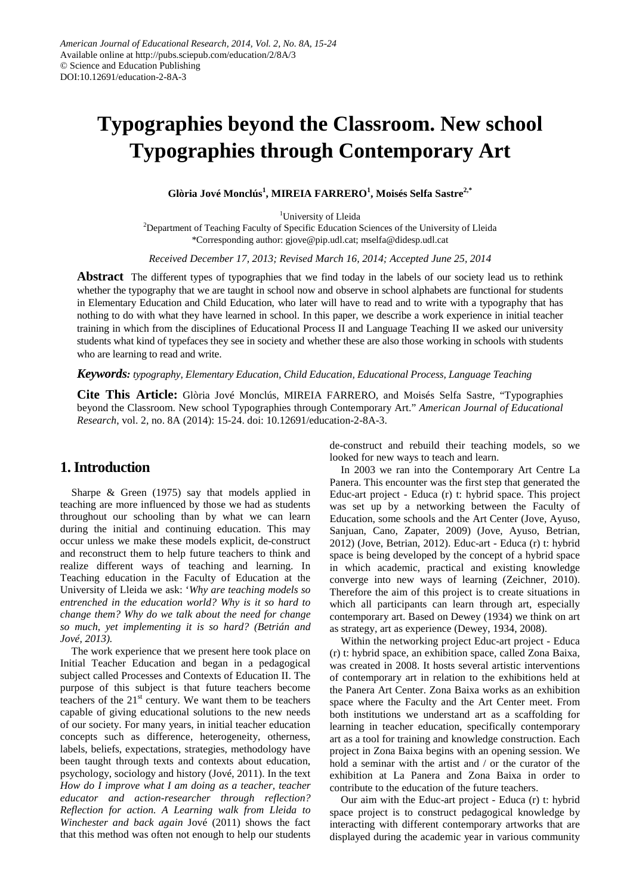# **Typographies beyond the Classroom. New school Typographies through Contemporary Art**

**Glòria Jové Monclús1 , MIREIA FARRERO<sup>1</sup> , Moisés Selfa Sastre2,\***

1 University of Lleida

<sup>2</sup>Department of Teaching Faculty of Specific Education Sciences of the University of Lleida \*Corresponding author: gjove@pip.udl.cat; mselfa@didesp.udl.cat

*Received December 17, 2013; Revised March 16, 2014; Accepted June 25, 2014*

**Abstract** The different types of typographies that we find today in the labels of our society lead us to rethink whether the typography that we are taught in school now and observe in school alphabets are functional for students in Elementary Education and Child Education, who later will have to read and to write with a typography that has nothing to do with what they have learned in school. In this paper, we describe a work experience in initial teacher training in which from the disciplines of Educational Process II and Language Teaching II we asked our university students what kind of typefaces they see in society and whether these are also those working in schools with students who are learning to read and write.

## *Keywords: typography, Elementary Education, Child Education, Educational Process, Language Teaching*

**Cite This Article:** Glòria Jové Monclús, MIREIA FARRERO, and Moisés Selfa Sastre, "Typographies beyond the Classroom. New school Typographies through Contemporary Art." *American Journal of Educational Research*, vol. 2, no. 8A (2014): 15-24. doi: 10.12691/education-2-8A-3.

## **1. Introduction**

Sharpe & Green (1975) say that models applied in teaching are more influenced by those we had as students throughout our schooling than by what we can learn during the initial and continuing education. This may occur unless we make these models explicit, de-construct and reconstruct them to help future teachers to think and realize different ways of teaching and learning. In Teaching education in the Faculty of Education at the University of Lleida we ask: '*Why are teaching models so entrenched in the education world? Why is it so hard to change them? Why do we talk about the need for change so much, yet implementing it is so hard? (Betrián and Jové, 2013).*

The work experience that we present here took place on Initial Teacher Education and began in a pedagogical subject called Processes and Contexts of Education II. The purpose of this subject is that future teachers become teachers of the  $21<sup>st</sup>$  century. We want them to be teachers capable of giving educational solutions to the new needs of our society. For many years, in initial teacher education concepts such as difference, heterogeneity, otherness, labels, beliefs, expectations, strategies, methodology have been taught through texts and contexts about education, psychology, sociology and history (Jové, 2011). In the text *How do I improve what I am doing as a teacher, teacher educator and action-researcher through reflection? Reflection for action. A Learning walk from Lleida to Winchester and back again* Jové (2011) shows the fact that this method was often not enough to help our students

de-construct and rebuild their teaching models, so we looked for new ways to teach and learn.

In 2003 we ran into the Contemporary Art Centre La Panera. This encounter was the first step that generated the Educ-art project - Educa (r) t: hybrid space. This project was set up by a networking between the Faculty of Education, some schools and the Art Center (Jove, Ayuso, Sanjuan, Cano, Zapater, 2009) (Jove, Ayuso, Betrian, 2012) (Jove, Betrian, 2012). Educ-art - Educa (r) t: hybrid space is being developed by the concept of a hybrid space in which academic, practical and existing knowledge converge into new ways of learning (Zeichner, 2010). Therefore the aim of this project is to create situations in which all participants can learn through art, especially contemporary art. Based on Dewey (1934) we think on art as strategy, art as experience (Dewey, 1934, 2008).

Within the networking project Educ-art project - Educa (r) t: hybrid space, an exhibition space, called Zona Baixa, was created in 2008. It hosts several artistic interventions of contemporary art in relation to the exhibitions held at the Panera Art Center. Zona Baixa works as an exhibition space where the Faculty and the Art Center meet. From both institutions we understand art as a scaffolding for learning in teacher education, specifically contemporary art as a tool for training and knowledge construction. Each project in Zona Baixa begins with an opening session. We hold a seminar with the artist and / or the curator of the exhibition at La Panera and Zona Baixa in order to contribute to the education of the future teachers.

Our aim with the Educ-art project - Educa (r) t: hybrid space project is to construct pedagogical knowledge by interacting with different contemporary artworks that are displayed during the academic year in various community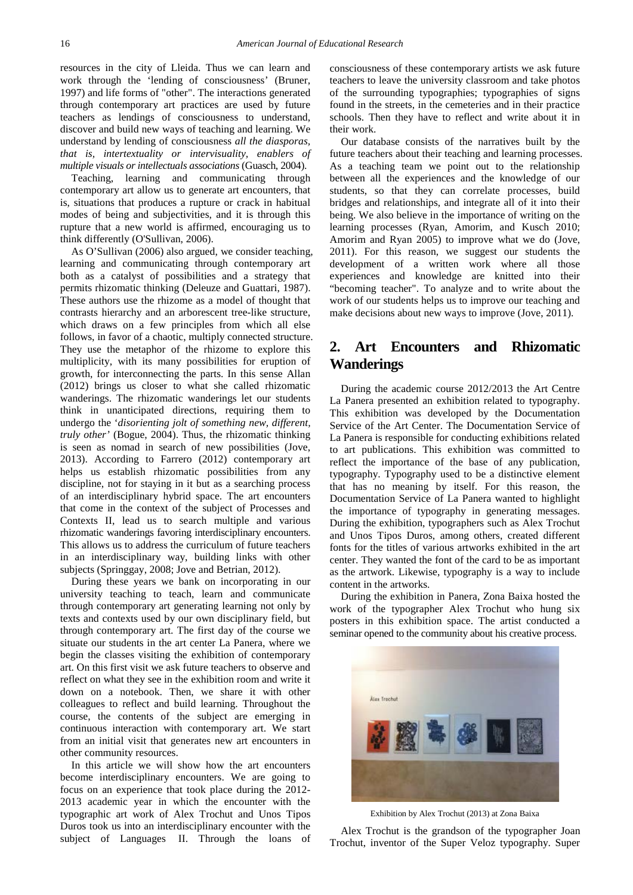resources in the city of Lleida. Thus we can learn and work through the 'lending of consciousness' (Bruner, 1997) and life forms of "other". The interactions generated through contemporary art practices are used by future teachers as lendings of consciousness to understand, discover and build new ways of teaching and learning. We understand by lending of consciousness *all the diasporas, that is, intertextuality or intervisuality, enablers of multiple visuals or intellectuals associations* (Guasch, 2004).

Teaching, learning and communicating through contemporary art allow us to generate art encounters, that is, situations that produces a rupture or crack in habitual modes of being and subjectivities, and it is through this rupture that a new world is affirmed, encouraging us to think differently (O'Sullivan, 2006).

As O'Sullivan (2006) also argued, we consider teaching, learning and communicating through contemporary art both as a catalyst of possibilities and a strategy that permits rhizomatic thinking (Deleuze and Guattari, 1987). These authors use the rhizome as a model of thought that contrasts hierarchy and an arborescent tree-like structure, which draws on a few principles from which all else follows, in favor of a chaotic, multiply connected structure. They use the metaphor of the rhizome to explore this multiplicity, with its many possibilities for eruption of growth, for interconnecting the parts. In this sense Allan (2012) brings us closer to what she called rhizomatic wanderings. The rhizomatic wanderings let our students think in unanticipated directions, requiring them to undergo the '*disorienting jolt of something new, different, truly other'* (Bogue, 2004). Thus, the rhizomatic thinking is seen as nomad in search of new possibilities (Jove, 2013). According to Farrero (2012) contemporary art helps us establish rhizomatic possibilities from any discipline, not for staying in it but as a searching process of an interdisciplinary hybrid space. The art encounters that come in the context of the subject of Processes and Contexts II, lead us to search multiple and various rhizomatic wanderings favoring interdisciplinary encounters. This allows us to address the curriculum of future teachers in an interdisciplinary way, building links with other subjects (Springgay, 2008; Jove and Betrian, 2012).

During these years we bank on incorporating in our university teaching to teach, learn and communicate through contemporary art generating learning not only by texts and contexts used by our own disciplinary field, but through contemporary art. The first day of the course we situate our students in the art center La Panera, where we begin the classes visiting the exhibition of contemporary art. On this first visit we ask future teachers to observe and reflect on what they see in the exhibition room and write it down on a notebook. Then, we share it with other colleagues to reflect and build learning. Throughout the course, the contents of the subject are emerging in continuous interaction with contemporary art. We start from an initial visit that generates new art encounters in other community resources.

In this article we will show how the art encounters become interdisciplinary encounters. We are going to focus on an experience that took place during the 2012- 2013 academic year in which the encounter with the typographic art work of Alex Trochut and Unos Tipos Duros took us into an interdisciplinary encounter with the subject of Languages II. Through the loans of consciousness of these contemporary artists we ask future teachers to leave the university classroom and take photos of the surrounding typographies; typographies of signs found in the streets, in the cemeteries and in their practice schools. Then they have to reflect and write about it in their work.

Our database consists of the narratives built by the future teachers about their teaching and learning processes. As a teaching team we point out to the relationship between all the experiences and the knowledge of our students, so that they can correlate processes, build bridges and relationships, and integrate all of it into their being. We also believe in the importance of writing on the learning processes (Ryan, Amorim, and Kusch 2010; Amorim and Ryan 2005) to improve what we do (Jove, 2011). For this reason, we suggest our students the development of a written work where all those experiences and knowledge are knitted into their "becoming teacher". To analyze and to write about the work of our students helps us to improve our teaching and make decisions about new ways to improve (Jove, 2011).

# **2. Art Encounters and Rhizomatic Wanderings**

During the academic course 2012/2013 the Art Centre La Panera presented an exhibition related to typography. This exhibition was developed by the Documentation Service of the Art Center. The Documentation Service of La Panera is responsible for conducting exhibitions related to art publications. This exhibition was committed to reflect the importance of the base of any publication, typography. Typography used to be a distinctive element that has no meaning by itself. For this reason, the Documentation Service of La Panera wanted to highlight the importance of typography in generating messages. During the exhibition, typographers such as Alex Trochut and Unos Tipos Duros, among others, created different fonts for the titles of various artworks exhibited in the art center. They wanted the font of the card to be as important as the artwork. Likewise, typography is a way to include content in the artworks.

During the exhibition in Panera, Zona Baixa hosted the work of the typographer Alex Trochut who hung six posters in this exhibition space. The artist conducted a seminar opened to the community about his creative process.



Exhibition by Alex Trochut (2013) at Zona Baixa

Alex Trochut is the grandson of the typographer Joan Trochut, inventor of the Super Veloz typography. Super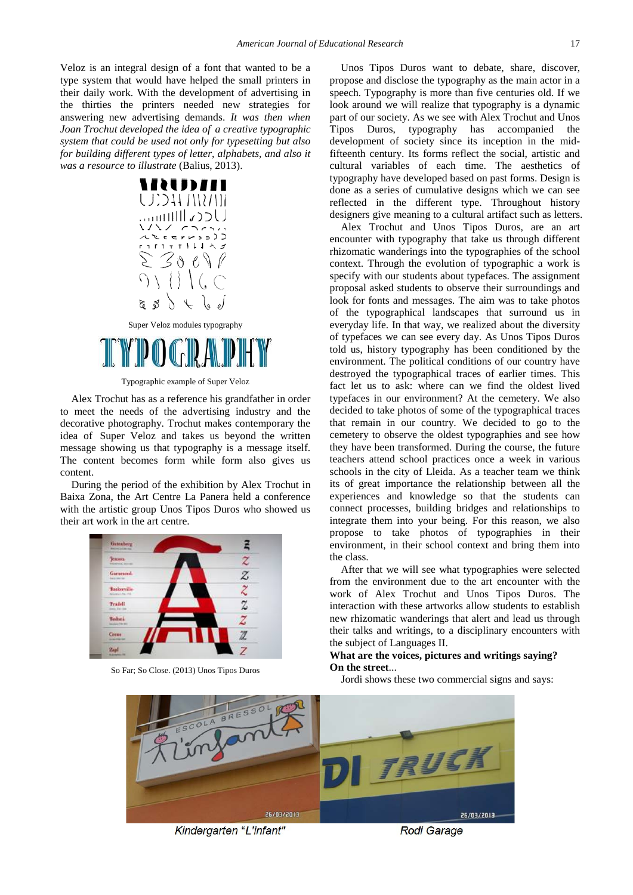Veloz is an integral design of a font that wanted to be a type system that would have helped the small printers in their daily work. With the development of advertising in the thirties the printers needed new strategies for answering new advertising demands. *It was then when Joan Trochut developed the idea of a creative typographic system that could be used not only for typesetting but also for building different types of letter, alphabets, and also it was a resource to illustrate* (Balius, 2013).



Typographic example of Super Veloz

Alex Trochut has as a reference his grandfather in order to meet the needs of the advertising industry and the decorative photography. Trochut makes contemporary the idea of Super Veloz and takes us beyond the written message showing us that typography is a message itself. The content becomes form while form also gives us content.

During the period of the exhibition by Alex Trochut in Baixa Zona, the Art Centre La Panera held a conference with the artistic group Unos Tipos Duros who showed us their art work in the art centre.



So Far; So Close. (2013) Unos Tipos Duros

Unos Tipos Duros want to debate, share, discover, propose and disclose the typography as the main actor in a speech. Typography is more than five centuries old. If we look around we will realize that typography is a dynamic part of our society. As we see with Alex Trochut and Unos Tipos Duros, typography has accompanied the development of society since its inception in the midfifteenth century. Its forms reflect the social, artistic and cultural variables of each time. The aesthetics of typography have developed based on past forms. Design is done as a series of cumulative designs which we can see reflected in the different type. Throughout history designers give meaning to a cultural artifact such as letters.

Alex Trochut and Unos Tipos Duros, are an art encounter with typography that take us through different rhizomatic wanderings into the typographies of the school context. Through the evolution of typographic a work is specify with our students about typefaces. The assignment proposal asked students to observe their surroundings and look for fonts and messages. The aim was to take photos of the typographical landscapes that surround us in everyday life. In that way, we realized about the diversity of typefaces we can see every day. As Unos Tipos Duros told us, history typography has been conditioned by the environment. The political conditions of our country have destroyed the typographical traces of earlier times. This fact let us to ask: where can we find the oldest lived typefaces in our environment? At the cemetery. We also decided to take photos of some of the typographical traces that remain in our country. We decided to go to the cemetery to observe the oldest typographies and see how they have been transformed. During the course, the future teachers attend school practices once a week in various schools in the city of Lleida. As a teacher team we think its of great importance the relationship between all the experiences and knowledge so that the students can connect processes, building bridges and relationships to integrate them into your being. For this reason, we also propose to take photos of typographies in their environment, in their school context and bring them into the class.

After that we will see what typographies were selected from the environment due to the art encounter with the work of Alex Trochut and Unos Tipos Duros. The interaction with these artworks allow students to establish new rhizomatic wanderings that alert and lead us through their talks and writings, to a disciplinary encounters with the subject of Languages II.

## **What are the voices, pictures and writings saying? On the street**...

Jordi shows these two commercial signs and says:



Kindergarten "L'infant"

**Rodi Garage**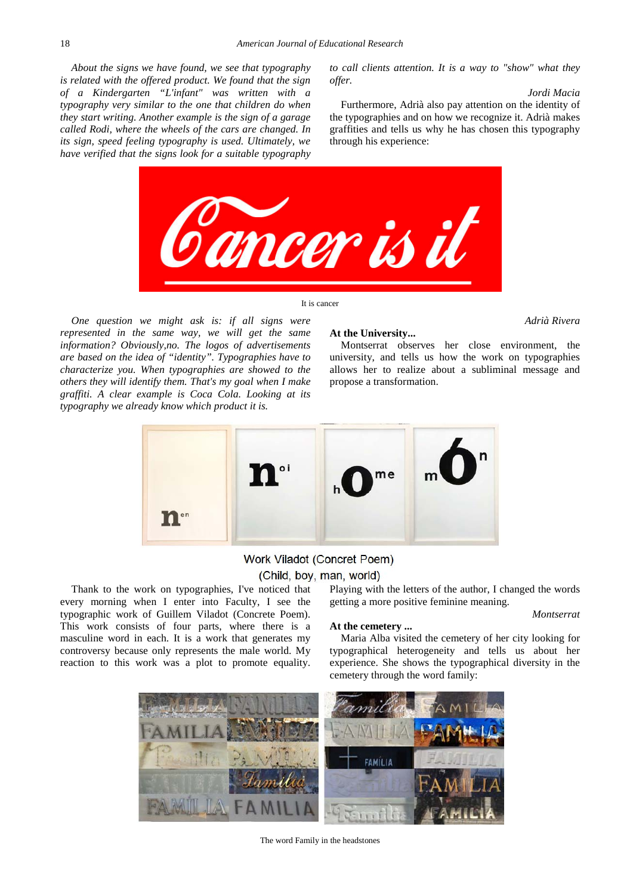*About the signs we have found, we see that typography is related with the offered product. We found that the sign of a Kindergarten "L'infant" was written with a typography very similar to the one that children do when they start writing. Another example is the sign of a garage called Rodi, where the wheels of the cars are changed. In its sign, speed feeling typography is used. Ultimately, we have verified that the signs look for a suitable typography* 

*to call clients attention. It is a way to "show" what they offer.*

#### *Jordi Macia*

Furthermore, Adrià also pay attention on the identity of the typographies and on how we recognize it. Adrià makes graffities and tells us why he has chosen this typography through his experience:



#### It is cancer

*One question we might ask is: if all signs were represented in the same way, we will get the same information? Obviously,no. The logos of advertisements are based on the idea of "identity". Typographies have to characterize you. When typographies are showed to the others they will identify them. That's my goal when I make graffiti. A clear example is Coca Cola. Looking at its typography we already know which product it is.*

#### **At the University...**

*Adrià Rivera*

Montserrat observes her close environment, the university, and tells us how the work on typographies allows her to realize about a subliminal message and propose a transformation.



## Work Viladot (Concret Poem)

## (Child, boy, man, world)

Thank to the work on typographies, I've noticed that every morning when I enter into Faculty, I see the typographic work of Guillem Viladot (Concrete Poem). This work consists of four parts, where there is a masculine word in each. It is a work that generates my controversy because only represents the male world. My reaction to this work was a plot to promote equality.

Playing with the letters of the author, I changed the words getting a more positive feminine meaning.

## *Montserrat*

## **At the cemetery ...**

Maria Alba visited the cemetery of her city looking for typographical heterogeneity and tells us about her experience. She shows the typographical diversity in the cemetery through the word family:



The word Family in the headstones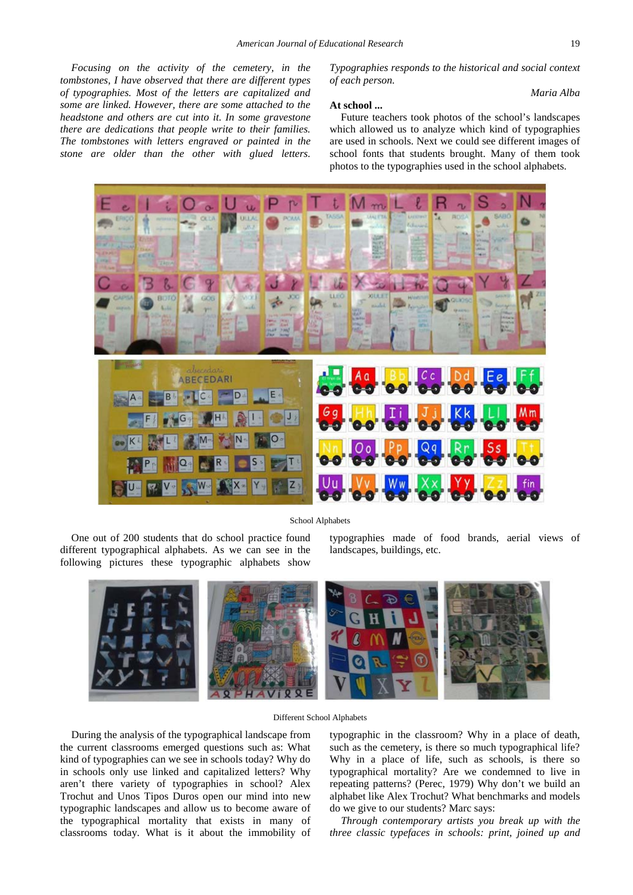*Focusing on the activity of the cemetery, in the tombstones, I have observed that there are different types of typographies. Most of the letters are capitalized and some are linked. However, there are some attached to the headstone and others are cut into it. In some gravestone there are dedications that people write to their families. The tombstones with letters engraved or painted in the stone are older than the other with glued letters.* 

*Typographies responds to the historical and social context of each person.*

## *Maria Alba*

**At school ...**

Future teachers took photos of the school's landscapes which allowed us to analyze which kind of typographies are used in schools. Next we could see different images of school fonts that students brought. Many of them took photos to the typographies used in the school alphabets.



School Alphabets

One out of 200 students that do school practice found different typographical alphabets. As we can see in the following pictures these typographic alphabets show

typographies made of food brands, aerial views of landscapes, buildings, etc.



## Different School Alphabets

During the analysis of the typographical landscape from the current classrooms emerged questions such as: What kind of typographies can we see in schools today? Why do in schools only use linked and capitalized letters? Why aren't there variety of typographies in school? Alex Trochut and Unos Tipos Duros open our mind into new typographic landscapes and allow us to become aware of the typographical mortality that exists in many of classrooms today. What is it about the immobility of typographic in the classroom? Why in a place of death, such as the cemetery, is there so much typographical life? Why in a place of life, such as schools, is there so typographical mortality? Are we condemned to live in repeating patterns? (Perec, 1979) Why don't we build an alphabet like Alex Trochut? What benchmarks and models do we give to our students? Marc says:

*Through contemporary artists you break up with the three classic typefaces in schools: print, joined up and*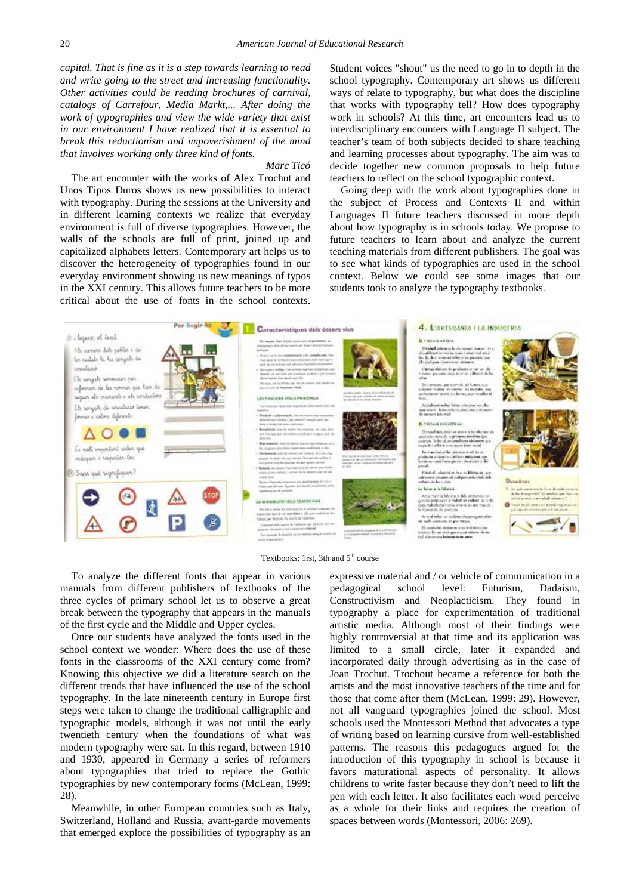*capital. That is fine as it is a step towards learning to read and write going to the street and increasing functionality. Other activities could be reading brochures of carnival, catalogs of Carrefour, Media Markt,... After doing the work of typographies and view the wide variety that exist in our environment I have realized that it is essential to break this reductionism and impoverishment of the mind that involves working only three kind of fonts.*

#### *Marc Ticó*

The art encounter with the works of Alex Trochut and Unos Tipos Duros shows us new possibilities to interact with typography. During the sessions at the University and in different learning contexts we realize that everyday environment is full of diverse typographies. However, the walls of the schools are full of print, joined up and capitalized alphabets letters. Contemporary art helps us to discover the heterogeneity of typographies found in our everyday environment showing us new meanings of typos in the XXI century. This allows future teachers to be more critical about the use of fonts in the school contexts.

Student voices "shout" us the need to go in to depth in the school typography. Contemporary art shows us different ways of relate to typography, but what does the discipline that works with typography tell? How does typography work in schools? At this time, art encounters lead us to interdisciplinary encounters with Language II subject. The teacher's team of both subjects decided to share teaching and learning processes about typography. The aim was to decide together new common proposals to help future teachers to reflect on the school typographic context.

Going deep with the work about typographies done in the subject of Process and Contexts II and within Languages II future teachers discussed in more depth about how typography is in schools today. We propose to future teachers to learn about and analyze the current teaching materials from different publishers. The goal was to see what kinds of typographies are used in the school context. Below we could see some images that our students took to analyze the typography textbooks.



Textbooks: 1rst, 3th and  $5<sup>th</sup>$  course

To analyze the different fonts that appear in various manuals from different publishers of textbooks of the three cycles of primary school let us to observe a great break between the typography that appears in the manuals of the first cycle and the Middle and Upper cycles.

Once our students have analyzed the fonts used in the school context we wonder: Where does the use of these fonts in the classrooms of the XXI century come from? Knowing this objective we did a literature search on the different trends that have influenced the use of the school typography. In the late nineteenth century in Europe first steps were taken to change the traditional calligraphic and typographic models, although it was not until the early twentieth century when the foundations of what was modern typography were sat. In this regard, between 1910 and 1930, appeared in Germany a series of reformers about typographies that tried to replace the Gothic typographies by new contemporary forms (McLean, 1999: 28).

Meanwhile, in other European countries such as Italy, Switzerland, Holland and Russia, avant-garde movements that emerged explore the possibilities of typography as an expressive material and / or vehicle of communication in a pedagogical school level: Futurism, Dadaism, Constructivism and Neoplacticism. They found in typography a place for experimentation of traditional artistic media. Although most of their findings were highly controversial at that time and its application was limited to a small circle, later it expanded and incorporated daily through advertising as in the case of Joan Trochut. Trochout became a reference for both the artists and the most innovative teachers of the time and for those that come after them (McLean, 1999: 29). However, not all vanguard typographies joined the school. Most schools used the Montessori Method that advocates a type of writing based on learning cursive from well-established patterns. The reasons this pedagogues argued for the introduction of this typography in school is because it favors maturational aspects of personality. It allows childrens to write faster because they don't need to lift the pen with each letter. It also facilitates each word perceive as a whole for their links and requires the creation of spaces between words (Montessori, 2006: 269).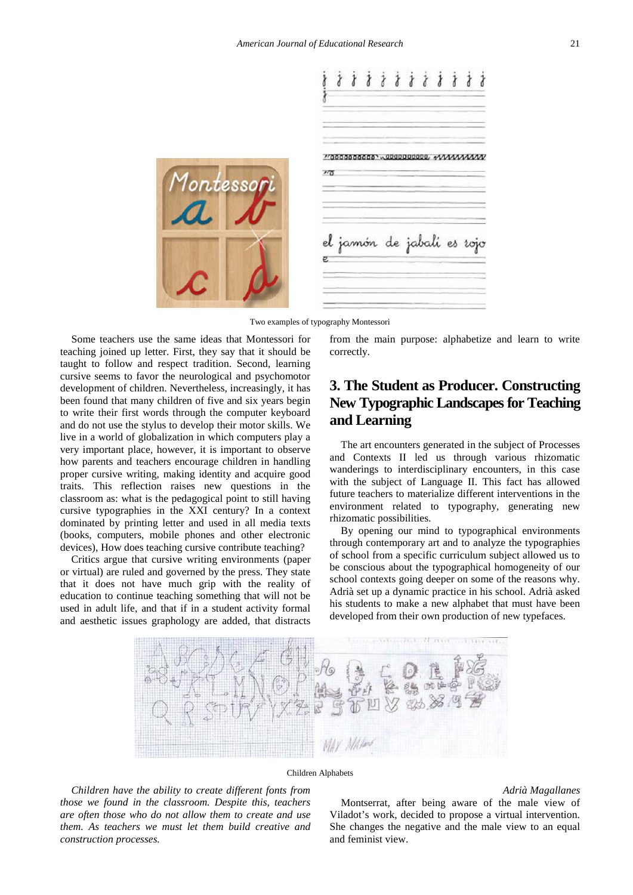|         |     |  |  |  | $7777777777777$                    |  |  |
|---------|-----|--|--|--|------------------------------------|--|--|
| Montess | 777 |  |  |  | "00000000000 - 00000000000 - MMMMM |  |  |
|         |     |  |  |  | el jamón de jabalí es rojo         |  |  |

Two examples of typography Montessori

Some teachers use the same ideas that Montessori for teaching joined up letter. First, they say that it should be taught to follow and respect tradition. Second, learning cursive seems to favor the neurological and psychomotor development of children. Nevertheless, increasingly, it has been found that many children of five and six years begin to write their first words through the computer keyboard and do not use the stylus to develop their motor skills. We live in a world of globalization in which computers play a very important place, however, it is important to observe how parents and teachers encourage children in handling proper cursive writing, making identity and acquire good traits. This reflection raises new questions in the classroom as: what is the pedagogical point to still having cursive typographies in the XXI century? In a context dominated by printing letter and used in all media texts (books, computers, mobile phones and other electronic devices), How does teaching cursive contribute teaching?

Critics argue that cursive writing environments (paper or virtual) are ruled and governed by the press. They state that it does not have much grip with the reality of education to continue teaching something that will not be used in adult life, and that if in a student activity formal and aesthetic issues graphology are added, that distracts

from the main purpose: alphabetize and learn to write correctly.

# **3. The Student as Producer. Constructing New Typographic Landscapes for Teaching and Learning**

The art encounters generated in the subject of Processes and Contexts II led us through various rhizomatic wanderings to interdisciplinary encounters, in this case with the subject of Language II. This fact has allowed future teachers to materialize different interventions in the environment related to typography, generating new rhizomatic possibilities.

By opening our mind to typographical environments through contemporary art and to analyze the typographies of school from a specific curriculum subject allowed us to be conscious about the typographical homogeneity of our school contexts going deeper on some of the reasons why. Adrià set up a dynamic practice in his school. Adrià asked his students to make a new alphabet that must have been developed from their own production of new typefaces.



## Children Alphabets

*Children have the ability to create different fonts from those we found in the classroom. Despite this, teachers are often those who do not allow them to create and use them. As teachers we must let them build creative and construction processes.*

Montserrat, after being aware of the male view of Viladot's work, decided to propose a virtual intervention. She changes the negative and the male view to an equal and feminist view.

## *Adrià Magallanes*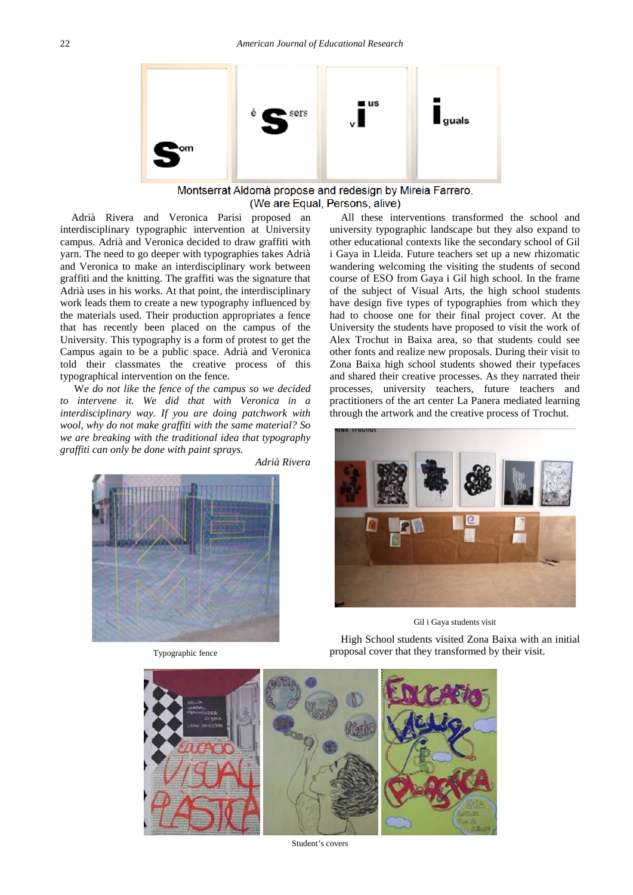

Montserrat Aldomà propose and redesign by Mireia Farrero. (We are Equal, Persons, alive)

Adrià Rivera and Veronica Parisi proposed an interdisciplinary typographic intervention at University campus. Adrià and Veronica decided to draw graffiti with yarn. The need to go deeper with typographies takes Adrià and Veronica to make an interdisciplinary work between graffiti and the knitting. The graffiti was the signature that Adrià uses in his works. At that point, the interdisciplinary work leads them to create a new typography influenced by the materials used. Their production appropriates a fence that has recently been placed on the campus of the University. This typography is a form of protest to get the Campus again to be a public space. Adrià and Veronica told their classmates the creative process of this typographical intervention on the fence.

W*e do not like* t*he fence of the campus so we decided to intervene it. We did that with Veronica in a interdisciplinary way. If you are doing patchwork with wool, why do not make graffiti with the same material? So we are breaking with the traditional idea that typography graffiti can only be done with paint sprays.*

*Adrià Rivera*



Typographic fence

Gil i Gaya students visit High School students visited Zona Baixa with an initial proposal cover that they transformed by their visit.



Student's covers

All these interventions transformed the school and university typographic landscape but they also expand to other educational contexts like the secondary school of Gil i Gaya in Lleida. Future teachers set up a new rhizomatic wandering welcoming the visiting the students of second course of ESO from Gaya i Gil high school. In the frame of the subject of Visual Arts, the high school students have design five types of typographies from which they had to choose one for their final project cover. At the University the students have proposed to visit the work of Alex Trochut in Baixa area, so that students could see other fonts and realize new proposals. During their visit to Zona Baixa high school students showed their typefaces and shared their creative processes. As they narrated their processes, university teachers, future teachers and practitioners of the art center La Panera mediated learning through the artwork and the creative process of Trochut.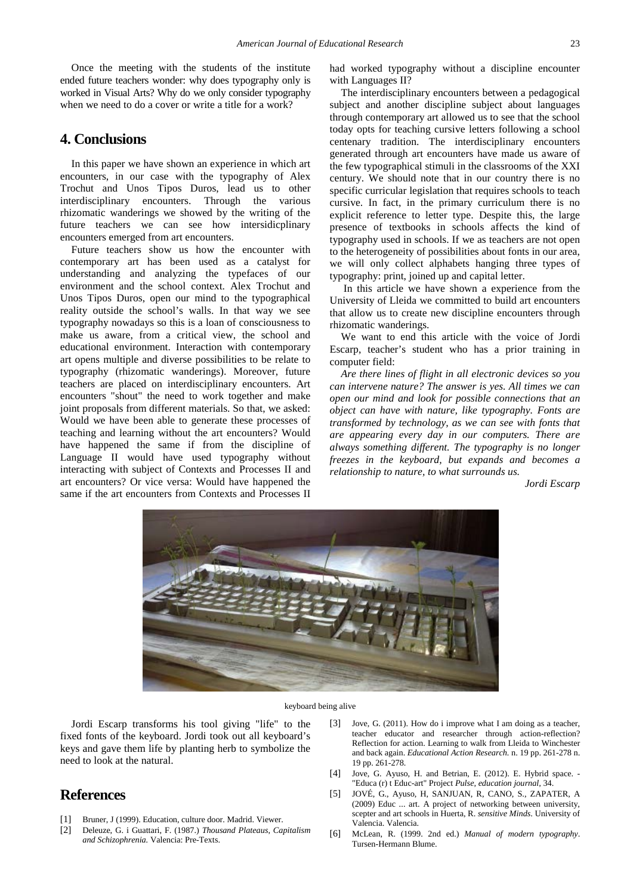Once the meeting with the students of the institute ended future teachers wonder: why does typography only is worked in Visual Arts? Why do we only consider typography when we need to do a cover or write a title for a work?

# **4. Conclusions**

In this paper we have shown an experience in which art encounters, in our case with the typography of Alex Trochut and Unos Tipos Duros, lead us to other interdisciplinary encounters. Through the various rhizomatic wanderings we showed by the writing of the future teachers we can see how intersidicplinary encounters emerged from art encounters.

Future teachers show us how the encounter with contemporary art has been used as a catalyst for understanding and analyzing the typefaces of our environment and the school context. Alex Trochut and Unos Tipos Duros, open our mind to the typographical reality outside the school's walls. In that way we see typography nowadays so this is a loan of consciousness to make us aware, from a critical view, the school and educational environment. Interaction with contemporary art opens multiple and diverse possibilities to be relate to typography (rhizomatic wanderings). Moreover, future teachers are placed on interdisciplinary encounters. Art encounters "shout" the need to work together and make joint proposals from different materials. So that, we asked: Would we have been able to generate these processes of teaching and learning without the art encounters? Would have happened the same if from the discipline of Language II would have used typography without interacting with subject of Contexts and Processes II and art encounters? Or vice versa: Would have happened the same if the art encounters from Contexts and Processes II

had worked typography without a discipline encounter with Languages II?

The interdisciplinary encounters between a pedagogical subject and another discipline subject about languages through contemporary art allowed us to see that the school today opts for teaching cursive letters following a school centenary tradition. The interdisciplinary encounters generated through art encounters have made us aware of the few typographical stimuli in the classrooms of the XXI century. We should note that in our country there is no specific curricular legislation that requires schools to teach cursive. In fact, in the primary curriculum there is no explicit reference to letter type. Despite this, the large presence of textbooks in schools affects the kind of typography used in schools. If we as teachers are not open to the heterogeneity of possibilities about fonts in our area, we will only collect alphabets hanging three types of typography: print, joined up and capital letter.

In this article we have shown a experience from the University of Lleida we committed to build art encounters that allow us to create new discipline encounters through rhizomatic wanderings.

We want to end this article with the voice of Jordi Escarp, teacher's student who has a prior training in computer field:

*Are there lines of flight in all electronic devices so you can intervene nature? The answer is yes. All times we can open our mind and look for possible connections that an object can have with nature, like typography. Fonts are transformed by technology, as we can see with fonts that are appearing every day in our computers. There are always something different. The typography is no longer freezes in the keyboard, but expands and becomes a relationship to nature, to what surrounds us.*

*Jordi Escarp*



#### keyboard being alive

Jordi Escarp transforms his tool giving "life" to the fixed fonts of the keyboard. Jordi took out all keyboard's keys and gave them life by planting herb to symbolize the need to look at the natural.

# **References**

- [1] Bruner, J (1999). Education, culture door. Madrid. Viewer.
- [2] Deleuze, G. i Guattari, F. (1987.) *Thousand Plateaus, Capitalism and Schizophrenia.* Valencia: Pre-Texts.
- [3] Jove, G. (2011). How do i improve what I am doing as a teacher, teacher educator and researcher through action-reflection? Reflection for action. Learning to walk from Lleida to Winchester and back again. *Educational Action Research.* n. 19 pp. 261-278 n. 19 pp. 261-278.
- [4] Jove, G. Ayuso, H. and Betrian, E. (2012). E. Hybrid space. -"Educa (r) t Educ-art" Project *Pulse, education journal,* 34.
- [5] JOVÉ, G., Ayuso, H, SANJUAN, R, CANO, S., ZAPATER, A (2009) Educ ... art. A project of networking between university, scepter and art schools in Huerta, R. *sensitive Minds*. University of Valencia. Valencia.
- [6] McLean, R. (1999. 2nd ed.) *Manual of modern typography*. Tursen-Hermann Blume.